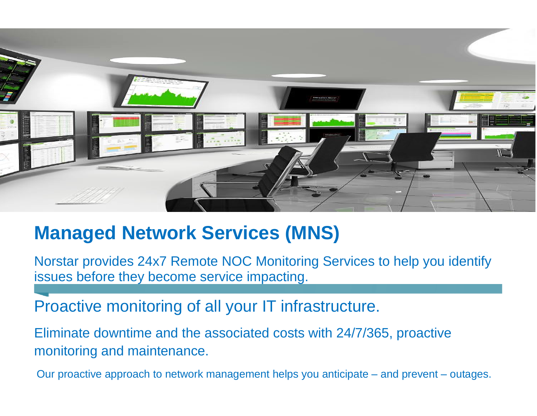

# **Managed Network Services (MNS)**

Norstar provides 24x7 Remote NOC Monitoring Services to help you identify issues before they become service impacting.

Proactive monitoring of all your IT infrastructure.

Eliminate downtime and the associated costs with 24/7/365, proactive monitoring and maintenance.

Our proactive approach to network management helps you anticipate – and prevent – outages.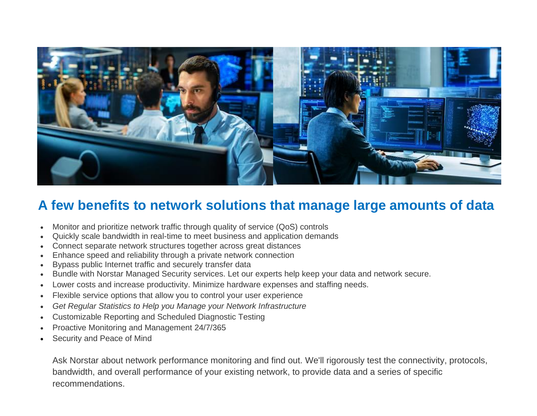

### **A few benefits to network solutions that manage large amounts of data**

- Monitor and prioritize network traffic through quality of service (QoS) controls
- Quickly scale bandwidth in real-time to meet business and application demands
- Connect separate network structures together across great distances
- Enhance speed and reliability through a private network connection
- Bypass public Internet traffic and securely transfer data
- Bundle with Norstar Managed Security services. Let our experts help keep your data and network secure.
- Lower costs and increase productivity. Minimize hardware expenses and staffing needs.
- Flexible service options that allow you to control your user experience
- *Get Regular Statistics to Help you Manage your Network Infrastructure*
- Customizable Reporting and Scheduled Diagnostic Testing
- Proactive Monitoring and Management 24/7/365
- Security and Peace of Mind

Ask Norstar about network performance monitoring and find out. We'll rigorously test the connectivity, protocols, bandwidth, and overall performance of your existing network, to provide data and a series of specific recommendations.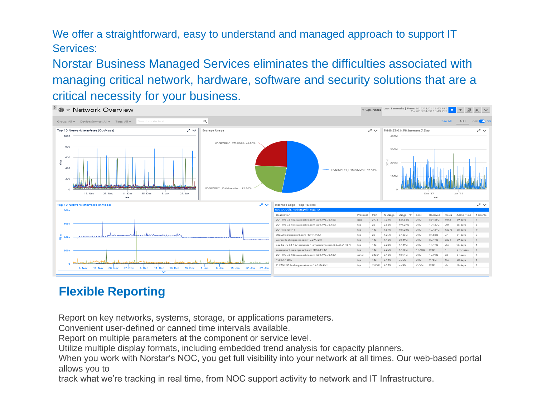We offer a straightforward, easy to understand and managed approach to support IT Services:

Norstar Business Managed Services eliminates the difficulties associated with managing critical network, hardware, software and security solutions that are a critical necessity for your business.



## **[Flexible Reporting](http://www.norstartelecom.com/managednetwork.htm)**

Report on key networks, systems, storage, or applications parameters.

Convenient user-defined or canned time intervals available.

Report on multiple parameters at the component or service level.

Utilize multiple display formats, including embedded trend analysis for capacity planners.

When you work with Norstar's NOC, you get full visibility into your network at all times. Our web-based portal allows you to

track what we're tracking in real time, from NOC support activity to network and IT Infrastructure.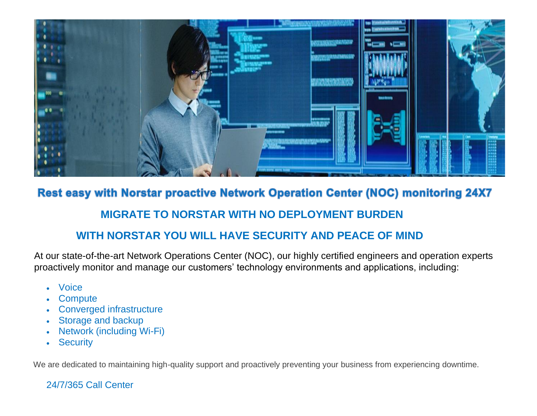

### Rest easy with Norstar proactive Network Operation Center (NOC) monitoring 24X7

#### **MIGRATE TO NORSTAR WITH NO DEPLOYMENT BURDEN**

#### **WITH NORSTAR YOU WILL HAVE SECURITY AND PEACE OF MIND**

At our state-of-the-art Network Operations Center (NOC), our highly certified engineers and operation experts proactively monitor and manage our customers' technology environments and applications, including:

- **Voice**
- **Compute**
- Converged infrastructure
- Storage and backup
- Network (including Wi-Fi)
- Security

We are dedicated to maintaining high-quality support and proactively preventing your business from experiencing downtime.

#### 24/7/365 Call Center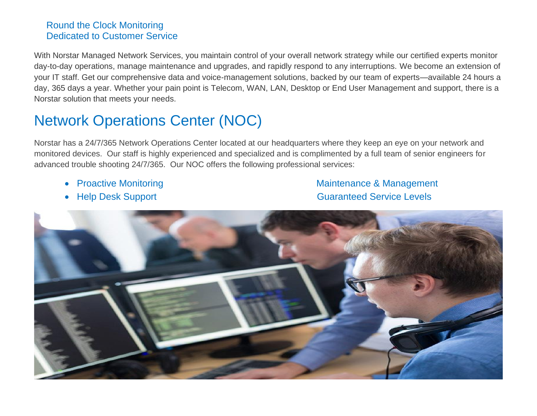#### Round the Clock Monitoring Dedicated to Customer Service

With Norstar Managed Network Services, you maintain control of your overall network strategy while our certified experts monitor day-to-day operations, manage maintenance and upgrades, and rapidly respond to any interruptions. We become an extension of your IT staff. Get our comprehensive data and voice-management solutions, backed by our team of experts—available 24 hours a day, 365 days a year. Whether your pain point is Telecom, WAN, LAN, Desktop or End User Management and support, there is a Norstar solution that meets your needs.

# Network Operations Center (NOC)

Norstar has a 24/7/365 Network Operations Center located at our headquarters where they keep an eye on your network and monitored devices. Our staff is highly experienced and specialized and is complimented by a full team of senior engineers for advanced trouble shooting 24/7/365. Our NOC offers the following professional services:

- 
- 

• Proactive Monitoring **Manufather and Maintenance & Management** • Help Desk Support Guaranteed Service Levels